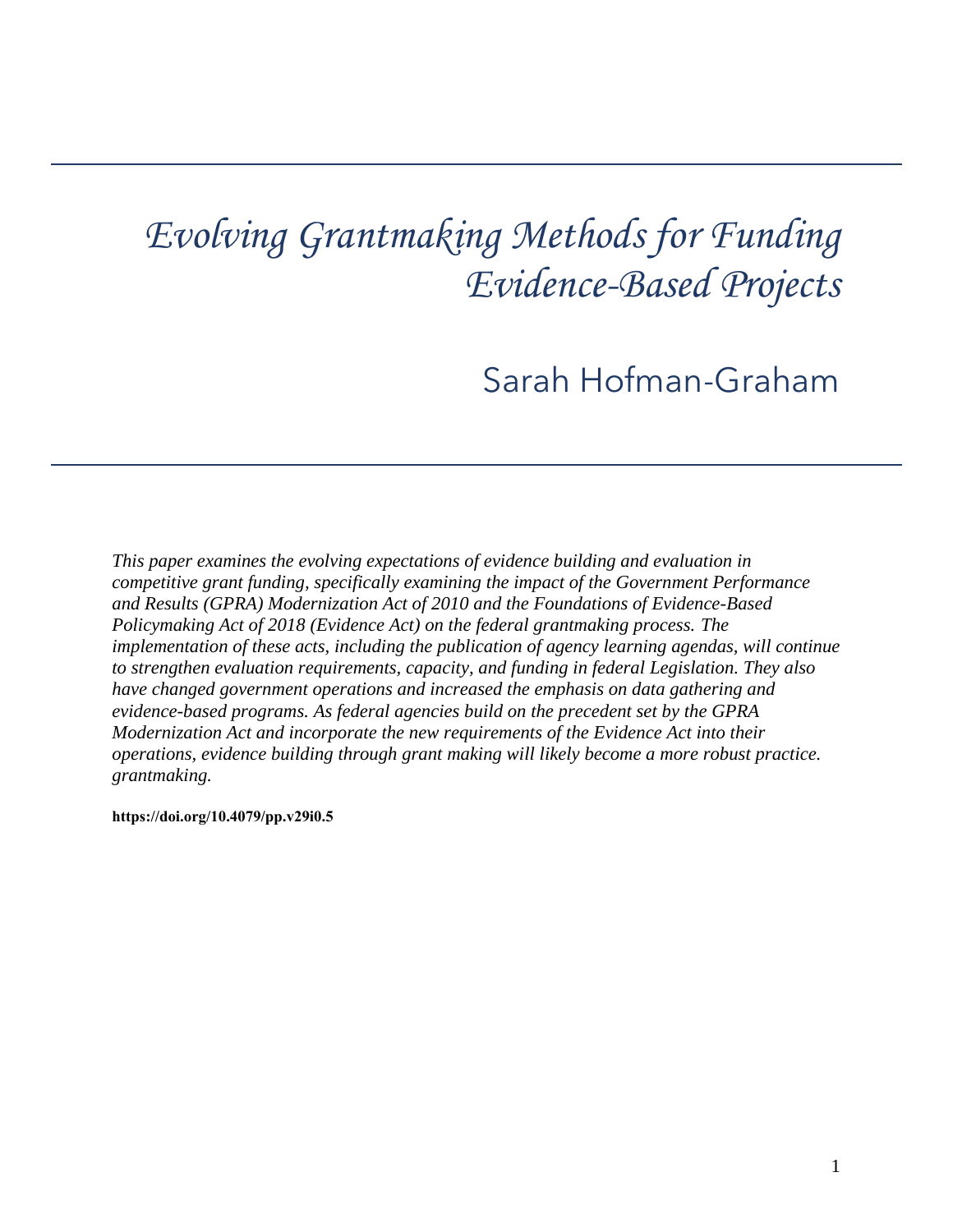# *Evolving Grantmaking Methods for Funding Evidence-Based Projects*

Sarah Hofman-Graham

*This paper examines the evolving expectations of evidence building and evaluation in competitive grant funding, specifically examining the impact of the Government Performance and Results (GPRA) Modernization Act of 2010 and the Foundations of Evidence-Based Policymaking Act of 2018 (Evidence Act) on the federal grantmaking process. The implementation of these acts, including the publication of agency learning agendas, will continue to strengthen evaluation requirements, capacity, and funding in federal Legislation. They also have changed government operations and increased the emphasis on data gathering and evidence-based programs. As federal agencies build on the precedent set by the GPRA Modernization Act and incorporate the new requirements of the Evidence Act into their operations, evidence building through grant making will likely become a more robust practice. grantmaking.* 

**[https://doi.org/10.4079/pp.v29i0.5](https://doi.org/10.4079/pp.v28i0.9)**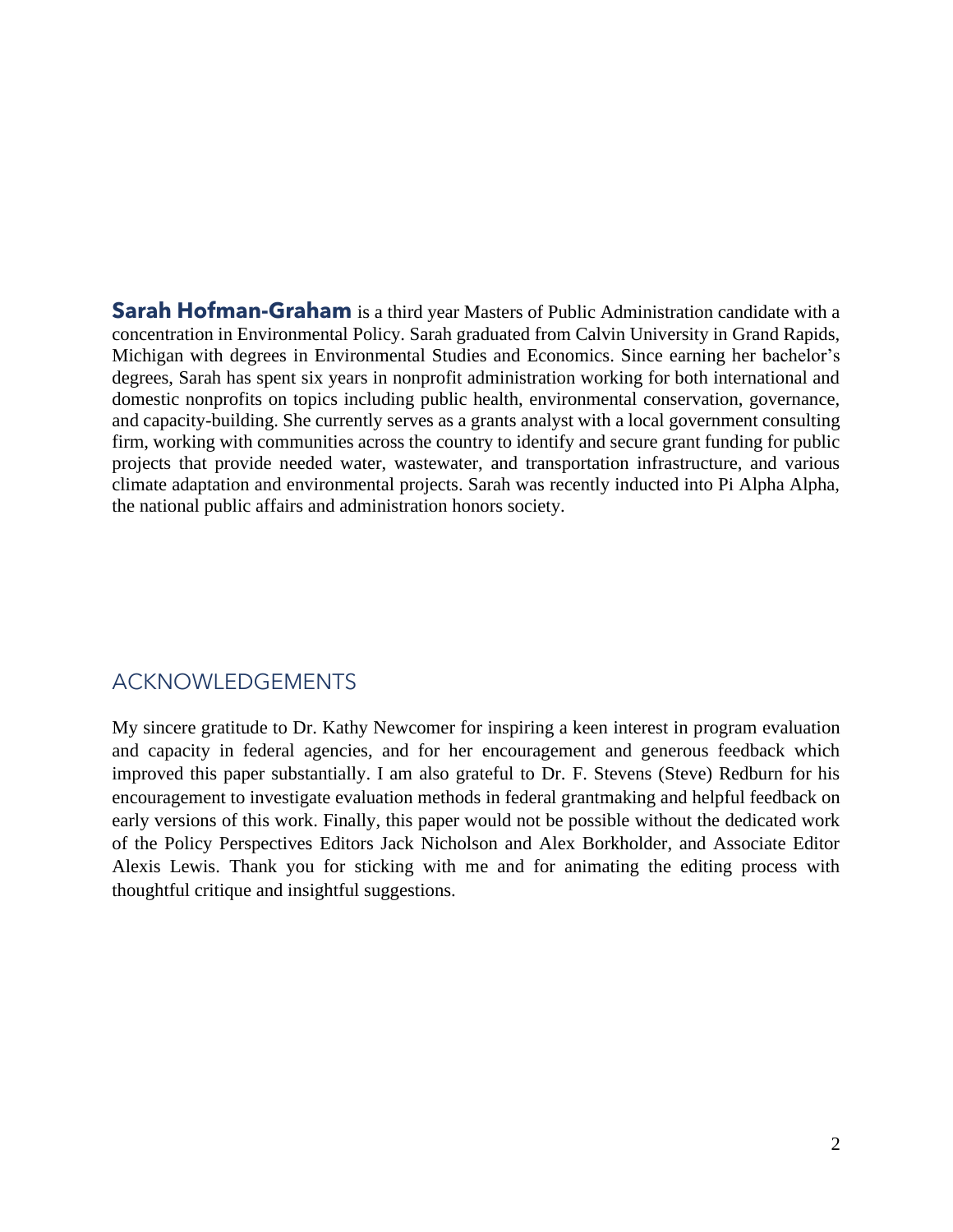Michigan with degrees in Environmental Studies and Economics. Since earning her bachelor's and capacity-building. She currently serves as a grants analyst with a local government consulting firm, working with communities across the country to identify and secure grant funding for public climate adaptation and environmental projects. Sarah was recently inducted into Pi Alpha Alpha, **Sarah Hofman-Graham** is a third year Masters of Public Administration candidate with a concentration in Environmental Policy. Sarah graduated from Calvin University in Grand Rapids, degrees, Sarah has spent six years in nonprofit administration working for both international and domestic nonprofits on topics including public health, environmental conservation, governance, projects that provide needed water, wastewater, and transportation infrastructure, and various the national public affairs and administration honors society.

## ACKNOWLEDGEMENTS

 My sincere gratitude to Dr. Kathy Newcomer for inspiring a keen interest in program evaluation improved this paper substantially. I am also grateful to Dr. F. Stevens (Steve) Redburn for his Alexis Lewis. Thank you for sticking with me and for animating the editing process with and capacity in federal agencies, and for her encouragement and generous feedback which encouragement to investigate evaluation methods in federal grantmaking and helpful feedback on early versions of this work. Finally, this paper would not be possible without the dedicated work of the Policy Perspectives Editors Jack Nicholson and Alex Borkholder, and Associate Editor thoughtful critique and insightful suggestions.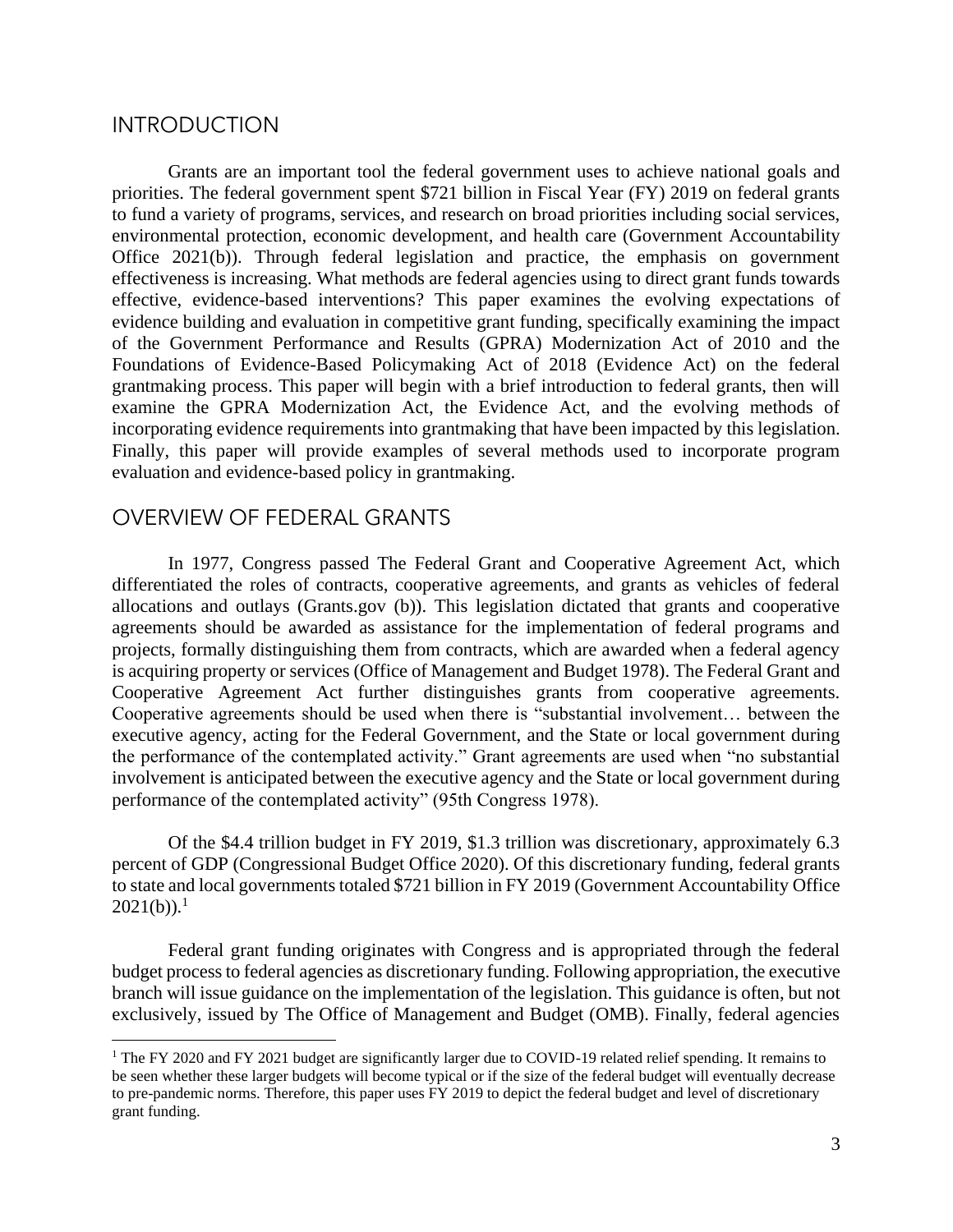## **INTRODUCTION**

 of the Government Performance and Results (GPRA) Modernization Act of 2010 and the grantmaking process. This paper will begin with a brief introduction to federal grants, then will examine the GPRA Modernization Act, the Evidence Act, and the evolving methods of Finally, this paper will provide examples of several methods used to incorporate program Grants are an important tool the federal government uses to achieve national goals and priorities. The federal government spent \$721 billion in Fiscal Year (FY) 2019 on federal grants to fund a variety of programs, services, and research on broad priorities including social services, environmental protection, economic development, and health care (Government Accountability Office 2021(b)). Through federal legislation and practice, the emphasis on government effectiveness is increasing. What methods are federal agencies using to direct grant funds towards effective, evidence-based interventions? This paper examines the evolving expectations of evidence building and evaluation in competitive grant funding, specifically examining the impact Foundations of Evidence-Based Policymaking Act of 2018 (Evidence Act) on the federal incorporating evidence requirements into grantmaking that have been impacted by this legislation. evaluation and evidence-based policy in grantmaking.

## OVERVIEW OF FEDERAL GRANTS

 agreements should be awarded as assistance for the implementation of federal programs and projects, formally distinguishing them from contracts, which are awarded when a federal agency is acquiring property or services (Office of Management and Budget 1978). The Federal Grant and Cooperative agreements should be used when there is "substantial involvement… between the executive agency, acting for the Federal Government, and the State or local government during the performance of the contemplated activity." Grant agreements are used when "no substantial involvement is anticipated between the executive agency and the State or local government during In 1977, Congress passed The Federal Grant and Cooperative Agreement Act, which differentiated the roles of contracts, cooperative agreements, and grants as vehicles of federal allocations and outlays [\(Grants.gov](https://Grants.gov) (b)). This legislation dictated that grants and cooperative Cooperative Agreement Act further distinguishes grants from cooperative agreements. performance of the contemplated activity" (95th Congress 1978).

 Of the \$4.4 trillion budget in FY 2019, \$1.3 trillion was discretionary, approximately 6.3 percent of GDP (Congressional Budget Office 2020). Of this discretionary funding, federal grants to state and local governments totaled \$721 billion in FY 2019 (Government Accountability Office  $2021(b)$ .<sup>1</sup>

 branch will issue guidance on the implementation of the legislation. This guidance is often, but not exclusively, issued by The Office of Management and Budget (OMB). Finally, federal agencies Federal grant funding originates with Congress and is appropriated through the federal budget process to federal agencies as discretionary funding. Following appropriation, the executive

 $1$  The FY 2020 and FY 2021 budget are significantly larger due to COVID-19 related relief spending. It remains to be seen whether these larger budgets will become typical or if the size of the federal budget will eventually decrease to pre-pandemic norms. Therefore, this paper uses FY 2019 to depict the federal budget and level of discretionary grant funding.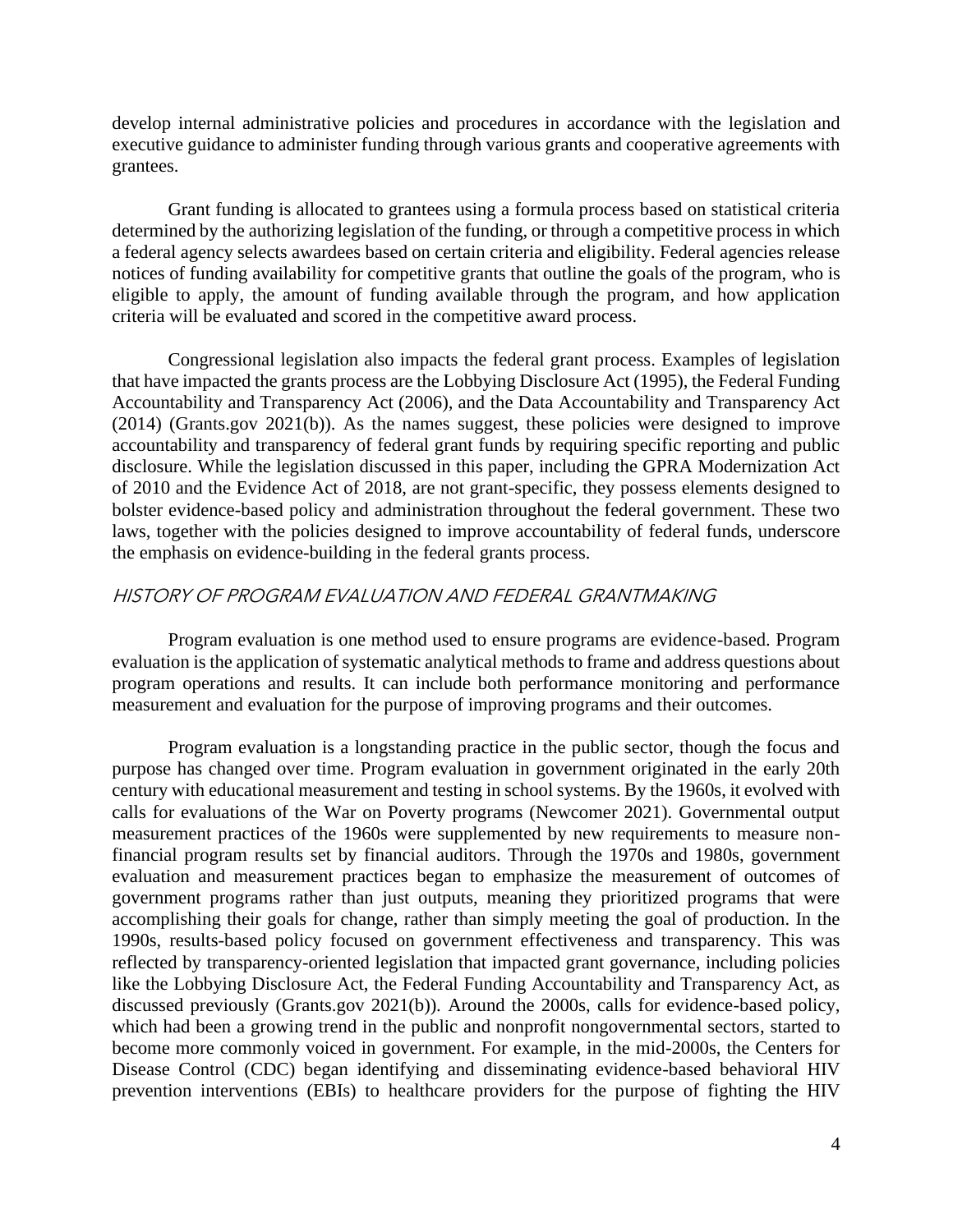develop internal administrative policies and procedures in accordance with the legislation and executive guidance to administer funding through various grants and cooperative agreements with grantees.

 Grant funding is allocated to grantees using a formula process based on statistical criteria determined by the authorizing legislation of the funding, or through a competitive process in which eligible to apply, the amount of funding available through the program, and how application a federal agency selects awardees based on certain criteria and eligibility. Federal agencies release notices of funding availability for competitive grants that outline the goals of the program, who is criteria will be evaluated and scored in the competitive award process.

 Congressional legislation also impacts the federal grant process. Examples of legislation bolster evidence-based policy and administration throughout the federal government. These two that have impacted the grants process are the Lobbying Disclosure Act (1995), the Federal Funding Accountability and Transparency Act (2006), and the Data Accountability and Transparency Act (2014) ([Grants.gov](https://Grants.gov) 2021(b)). As the names suggest, these policies were designed to improve accountability and transparency of federal grant funds by requiring specific reporting and public disclosure. While the legislation discussed in this paper, including the GPRA Modernization Act of 2010 and the Evidence Act of 2018, are not grant-specific, they possess elements designed to laws, together with the policies designed to improve accountability of federal funds, underscore the emphasis on evidence-building in the federal grants process.

#### HISTORY OF PROGRAM EVALUATION AND FEDERAL GRANTMAKING

Program evaluation is one method used to ensure programs are evidence-based. Program evaluation is the application of systematic analytical methods to frame and address questions about program operations and results. It can include both performance monitoring and performance measurement and evaluation for the purpose of improving programs and their outcomes.

 calls for evaluations of the War on Poverty programs (Newcomer 2021). Governmental output evaluation and measurement practices began to emphasize the measurement of outcomes of government programs rather than just outputs, meaning they prioritized programs that were accomplishing their goals for change, rather than simply meeting the goal of production. In the like the Lobbying Disclosure Act, the Federal Funding Accountability and Transparency Act, as which had been a growing trend in the public and nonprofit nongovernmental sectors, started to become more commonly voiced in government. For example, in the mid-2000s, the Centers for Disease Control (CDC) began identifying and disseminating evidence-based behavioral HIV Program evaluation is a longstanding practice in the public sector, though the focus and purpose has changed over time. Program evaluation in government originated in the early 20th century with educational measurement and testing in school systems. By the 1960s, it evolved with measurement practices of the 1960s were supplemented by new requirements to measure nonfinancial program results set by financial auditors. Through the 1970s and 1980s, government 1990s, results-based policy focused on government effectiveness and transparency. This was reflected by transparency-oriented legislation that impacted grant governance, including policies discussed previously [\(Grants.gov](https://Grants.gov) 2021(b)). Around the 2000s, calls for evidence-based policy, prevention interventions (EBIs) to healthcare providers for the purpose of fighting the HIV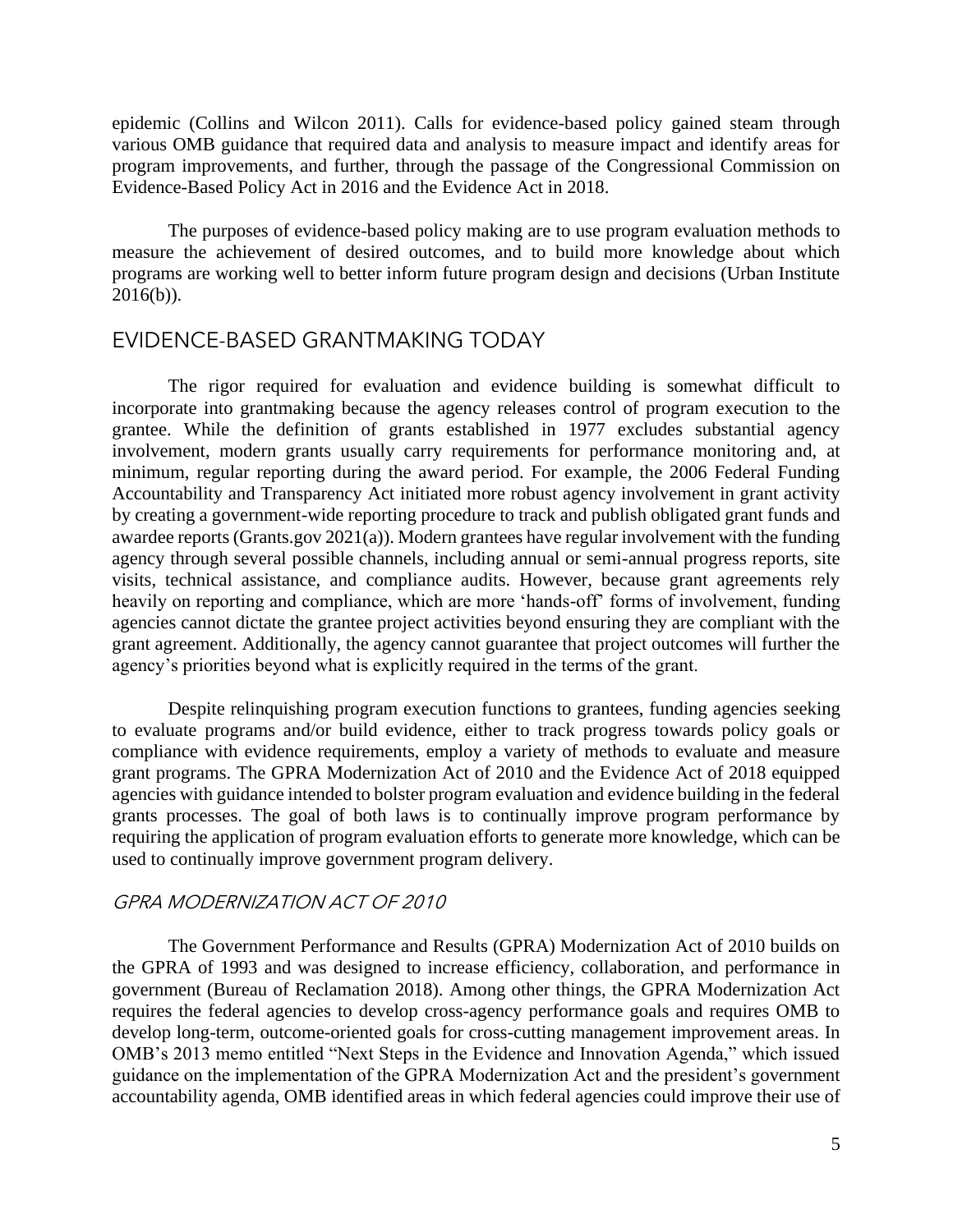various OMB guidance that required data and analysis to measure impact and identify areas for epidemic (Collins and Wilcon 2011). Calls for evidence-based policy gained steam through program improvements, and further, through the passage of the Congressional Commission on Evidence-Based Policy Act in 2016 and the Evidence Act in 2018.

 The purposes of evidence-based policy making are to use program evaluation methods to measure the achievement of desired outcomes, and to build more knowledge about which programs are working well to better inform future program design and decisions (Urban Institute 2016(b)).

## EVIDENCE-BASED GRANTMAKING TODAY

 The rigor required for evaluation and evidence building is somewhat difficult to incorporate into grantmaking because the agency releases control of program execution to the Accountability and Transparency Act initiated more robust agency involvement in grant activity by creating a government-wide reporting procedure to track and publish obligated grant funds and awardee reports ([Grants.gov](https://Grants.gov) 2021(a)). Modern grantees have regular involvement with the funding agency through several possible channels, including annual or semi-annual progress reports, site heavily on reporting and compliance, which are more 'hands-off' forms of involvement, funding grantee. While the definition of grants established in 1977 excludes substantial agency involvement, modern grants usually carry requirements for performance monitoring and, at minimum, regular reporting during the award period. For example, the 2006 Federal Funding visits, technical assistance, and compliance audits. However, because grant agreements rely agencies cannot dictate the grantee project activities beyond ensuring they are compliant with the grant agreement. Additionally, the agency cannot guarantee that project outcomes will further the agency's priorities beyond what is explicitly required in the terms of the grant.

 to evaluate programs and/or build evidence, either to track progress towards policy goals or grants processes. The goal of both laws is to continually improve program performance by requiring the application of program evaluation efforts to generate more knowledge, which can be Despite relinquishing program execution functions to grantees, funding agencies seeking compliance with evidence requirements, employ a variety of methods to evaluate and measure grant programs. The GPRA Modernization Act of 2010 and the Evidence Act of 2018 equipped agencies with guidance intended to bolster program evaluation and evidence building in the federal used to continually improve government program delivery.

#### GPRA MODERNIZATION ACT OF 2010

 the GPRA of 1993 and was designed to increase efficiency, collaboration, and performance in government (Bureau of Reclamation 2018). Among other things, the GPRA Modernization Act OMB's 2013 memo entitled "Next Steps in the Evidence and Innovation Agenda," which issued accountability agenda, OMB identified areas in which federal agencies could improve their use of The Government Performance and Results (GPRA) Modernization Act of 2010 builds on requires the federal agencies to develop cross-agency performance goals and requires OMB to develop long-term, outcome-oriented goals for cross-cutting management improvement areas. In guidance on the implementation of the GPRA Modernization Act and the president's government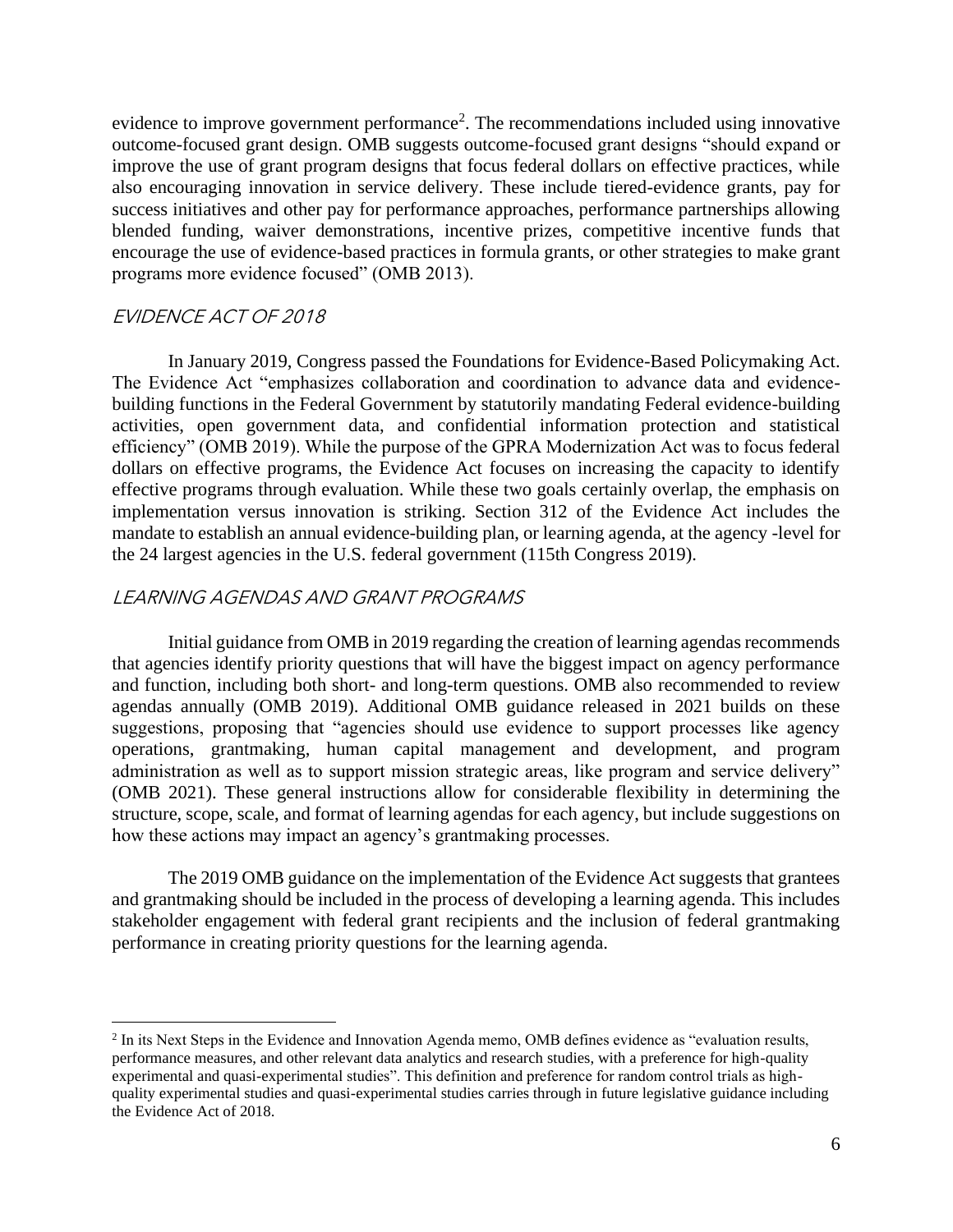evidence to improve government performance<sup>2</sup>. The recommendations included using innovative improve the use of grant program designs that focus federal dollars on effective practices, while also encouraging innovation in service delivery. These include tiered-evidence grants, pay for blended funding, waiver demonstrations, incentive prizes, competitive incentive funds that programs more evidence focused" (OMB 2013). outcome-focused grant design. OMB suggests outcome-focused grant designs "should expand or success initiatives and other pay for performance approaches, performance partnerships allowing encourage the use of evidence-based practices in formula grants, or other strategies to make grant

## EVIDENCE ACT OF 2018

 The Evidence Act "emphasizes collaboration and coordination to advance data and evidence- efficiency" (OMB 2019). While the purpose of the GPRA Modernization Act was to focus federal effective programs through evaluation. While these two goals certainly overlap, the emphasis on mandate to establish an annual evidence-building plan, or learning agenda, at the agency -level for In January 2019, Congress passed the Foundations for Evidence-Based Policymaking Act. building functions in the Federal Government by statutorily mandating Federal evidence-building activities, open government data, and confidential information protection and statistical dollars on effective programs, the Evidence Act focuses on increasing the capacity to identify implementation versus innovation is striking. Section 312 of the Evidence Act includes the the 24 largest agencies in the U.S. federal government (115th Congress 2019).

#### LEARNING AGENDAS AND GRANT PROGRAMS

 Initial guidance from OMB in 2019 regarding the creation of learning agendas recommends that agencies identify priority questions that will have the biggest impact on agency performance agendas annually (OMB 2019). Additional OMB guidance released in 2021 builds on these suggestions, proposing that "agencies should use evidence to support processes like agency administration as well as to support mission strategic areas, like program and service delivery" and function, including both short- and long-term questions. OMB also recommended to review operations, grantmaking, human capital management and development, and program (OMB 2021). These general instructions allow for considerable flexibility in determining the structure, scope, scale, and format of learning agendas for each agency, but include suggestions on how these actions may impact an agency's grantmaking processes.

 The 2019 OMB guidance on the implementation of the Evidence Act suggests that grantees and grantmaking should be included in the process of developing a learning agenda. This includes stakeholder engagement with federal grant recipients and the inclusion of federal grantmaking performance in creating priority questions for the learning agenda.

 $2$  In its Next Steps in the Evidence and Innovation Agenda memo, OMB defines evidence as "evaluation results, performance measures, and other relevant data analytics and research studies, with a preference for high-quality experimental and quasi-experimental studies". This definition and preference for random control trials as high- quality experimental studies and quasi-experimental studies carries through in future legislative guidance including the Evidence Act of 2018.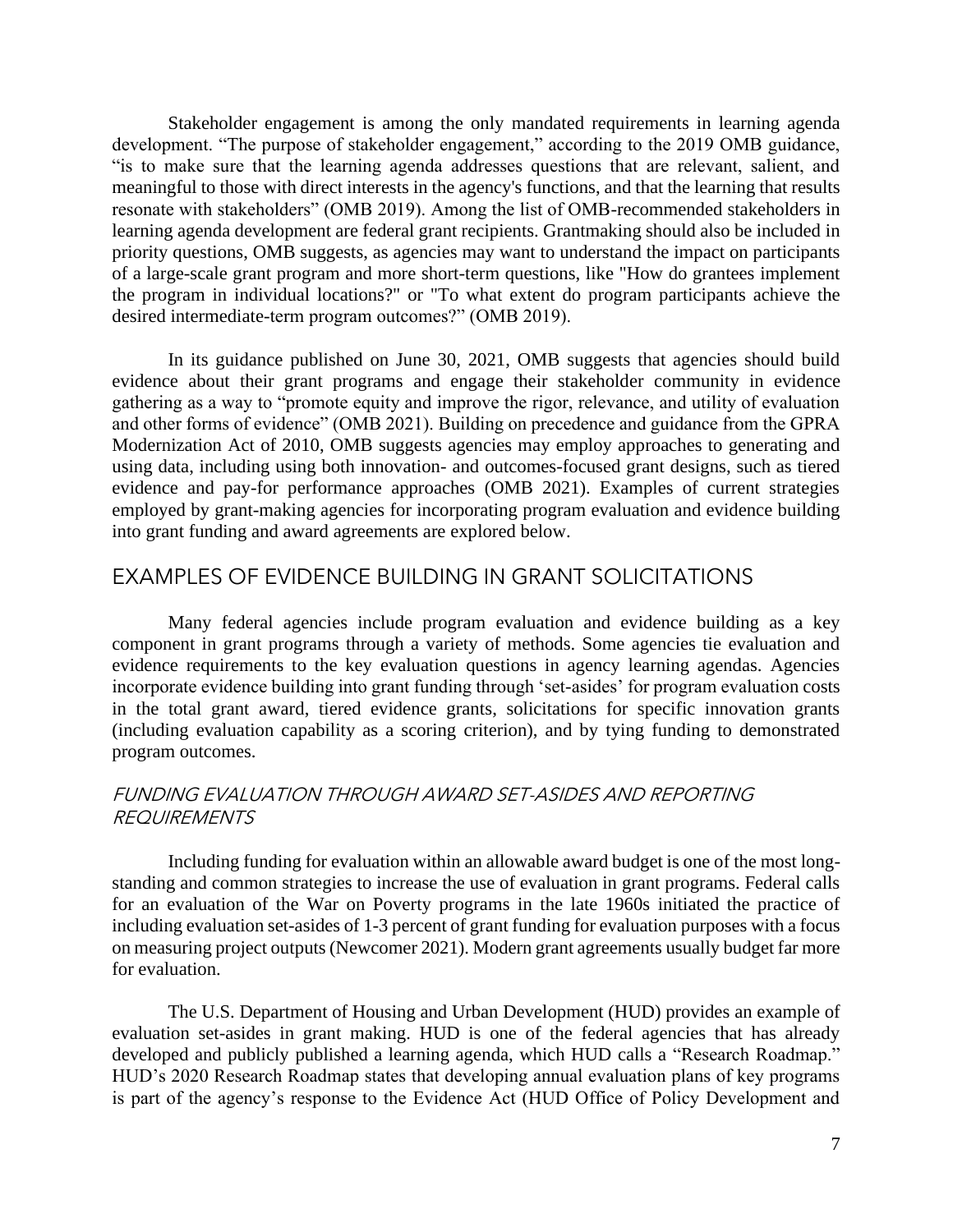Stakeholder engagement is among the only mandated requirements in learning agenda development. "The purpose of stakeholder engagement," according to the 2019 OMB guidance, "is to make sure that the learning agenda addresses questions that are relevant, salient, and resonate with stakeholders" (OMB 2019). Among the list of OMB-recommended stakeholders in meaningful to those with direct interests in the agency's functions, and that the learning that results learning agenda development are federal grant recipients. Grantmaking should also be included in priority questions, OMB suggests, as agencies may want to understand the impact on participants of a large-scale grant program and more short-term questions, like "How do grantees implement the program in individual locations?" or "To what extent do program participants achieve the desired intermediate-term program outcomes?" (OMB 2019).

 evidence about their grant programs and engage their stakeholder community in evidence gathering as a way to "promote equity and improve the rigor, relevance, and utility of evaluation and other forms of evidence" (OMB 2021). Building on precedence and guidance from the GPRA evidence and pay-for performance approaches (OMB 2021). Examples of current strategies In its guidance published on June 30, 2021, OMB suggests that agencies should build Modernization Act of 2010, OMB suggests agencies may employ approaches to generating and using data, including using both innovation- and outcomes-focused grant designs, such as tiered employed by grant-making agencies for incorporating program evaluation and evidence building into grant funding and award agreements are explored below.

## EXAMPLES OF EVIDENCE BUILDING IN GRANT SOLICITATIONS

evidence requirements to the key evaluation questions in agency learning agendas. Agencies incorporate evidence building into grant funding through 'set-asides' for program evaluation costs in the total grant award, tiered evidence grants, solicitations for specific innovation grants Many federal agencies include program evaluation and evidence building as a key component in grant programs through a variety of methods. Some agencies tie evaluation and (including evaluation capability as a scoring criterion), and by tying funding to demonstrated program outcomes.

## FUNDING EVALUATION THROUGH AWARD SET-ASIDES AND REPORTING REQUIREMENTS

 Including funding for evaluation within an allowable award budget is one of the most long- standing and common strategies to increase the use of evaluation in grant programs. Federal calls for an evaluation of the War on Poverty programs in the late 1960s initiated the practice of including evaluation set-asides of 1-3 percent of grant funding for evaluation purposes with a focus on measuring project outputs (Newcomer 2021). Modern grant agreements usually budget far more for evaluation.

 is part of the agency's response to the Evidence Act (HUD Office of Policy Development and The U.S. Department of Housing and Urban Development (HUD) provides an example of evaluation set-asides in grant making. HUD is one of the federal agencies that has already developed and publicly published a learning agenda, which HUD calls a "Research Roadmap." HUD's 2020 Research Roadmap states that developing annual evaluation plans of key programs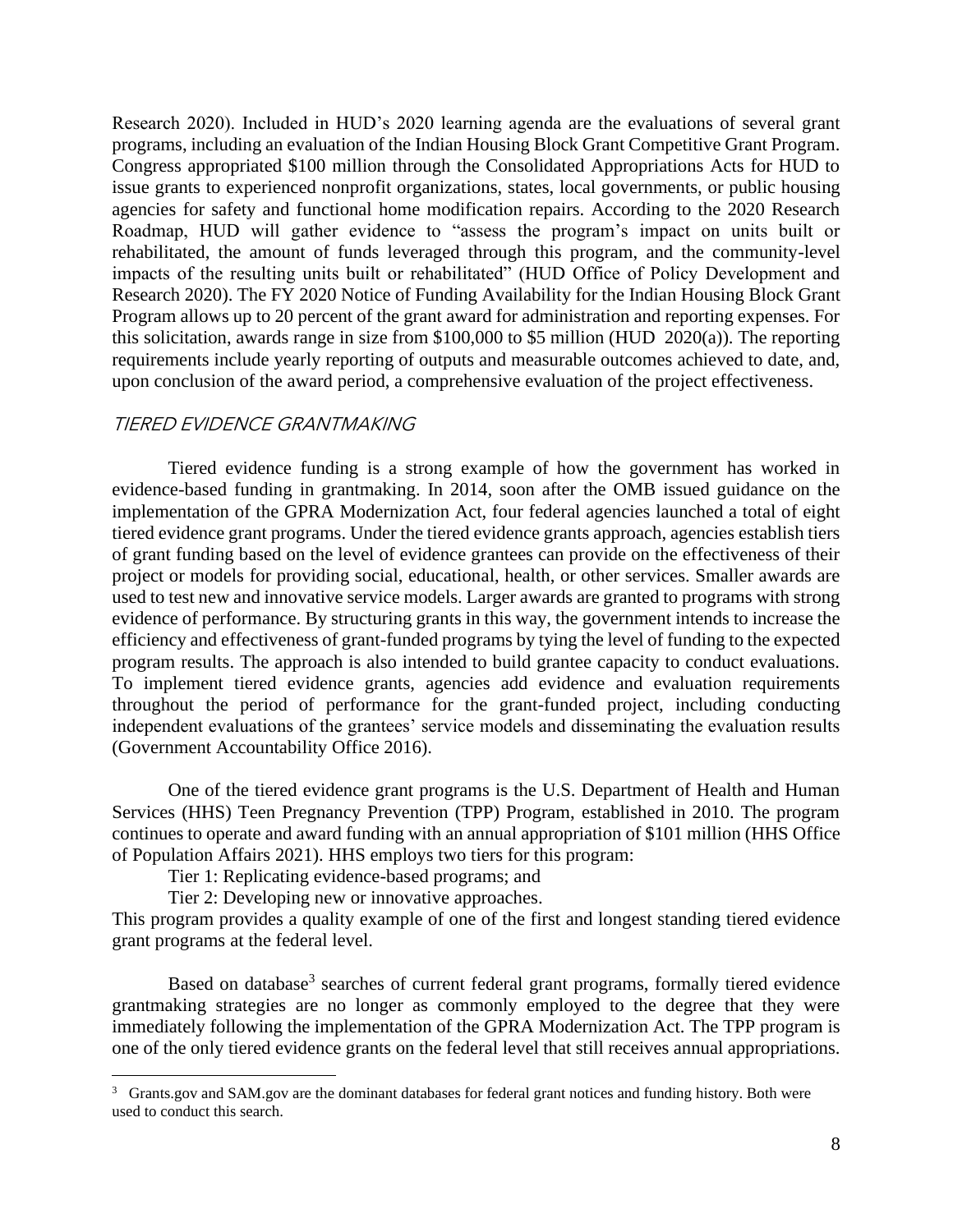Congress appropriated \$100 million through the Consolidated Appropriations Acts for HUD to issue grants to experienced nonprofit organizations, states, local governments, or public housing Roadmap, HUD will gather evidence to "assess the program's impact on units built or impacts of the resulting units built or rehabilitated" (HUD Office of Policy Development and Program allows up to 20 percent of the grant award for administration and reporting expenses. For Research 2020). Included in HUD's 2020 learning agenda are the evaluations of several grant programs, including an evaluation of the Indian Housing Block Grant Competitive Grant Program. agencies for safety and functional home modification repairs. According to the 2020 Research rehabilitated, the amount of funds leveraged through this program, and the community-level Research 2020). The FY 2020 Notice of Funding Availability for the Indian Housing Block Grant this solicitation, awards range in size from \$100,000 to \$5 million (HUD 2020(a)). The reporting requirements include yearly reporting of outputs and measurable outcomes achieved to date, and, upon conclusion of the award period, a comprehensive evaluation of the project effectiveness.

#### TIERED EVIDENCE GRANTMAKING

 Tiered evidence funding is a strong example of how the government has worked in evidence-based funding in grantmaking. In 2014, soon after the OMB issued guidance on the project or models for providing social, educational, health, or other services. Smaller awards are used to test new and innovative service models. Larger awards are granted to programs with strong program results. The approach is also intended to build grantee capacity to conduct evaluations. throughout the period of performance for the grant-funded project, including conducting implementation of the GPRA Modernization Act, four federal agencies launched a total of eight tiered evidence grant programs. Under the tiered evidence grants approach, agencies establish tiers of grant funding based on the level of evidence grantees can provide on the effectiveness of their evidence of performance. By structuring grants in this way, the government intends to increase the efficiency and effectiveness of grant-funded programs by tying the level of funding to the expected To implement tiered evidence grants, agencies add evidence and evaluation requirements independent evaluations of the grantees' service models and disseminating the evaluation results (Government Accountability Office 2016).

 Services (HHS) Teen Pregnancy Prevention (TPP) Program, established in 2010. The program One of the tiered evidence grant programs is the U.S. Department of Health and Human continues to operate and award funding with an annual appropriation of \$101 million (HHS Office of Population Affairs 2021). HHS employs two tiers for this program:

Tier 1: Replicating evidence-based programs; and

Tier 2: Developing new or innovative approaches.

 This program provides a quality example of one of the first and longest standing tiered evidence grant programs at the federal level.

Based on database<sup>3</sup> searches of current federal grant programs, formally tiered evidence grantmaking strategies are no longer as commonly employed to the degree that they were immediately following the implementation of the GPRA Modernization Act. The TPP program is one of the only tiered evidence grants on the federal level that still receives annual appropriations.

<sup>&</sup>lt;sup>3</sup> [Grants.gov](https://Grants.gov) and SAM.gov are the dominant databases for federal grant notices and funding history. Both were used to conduct this search.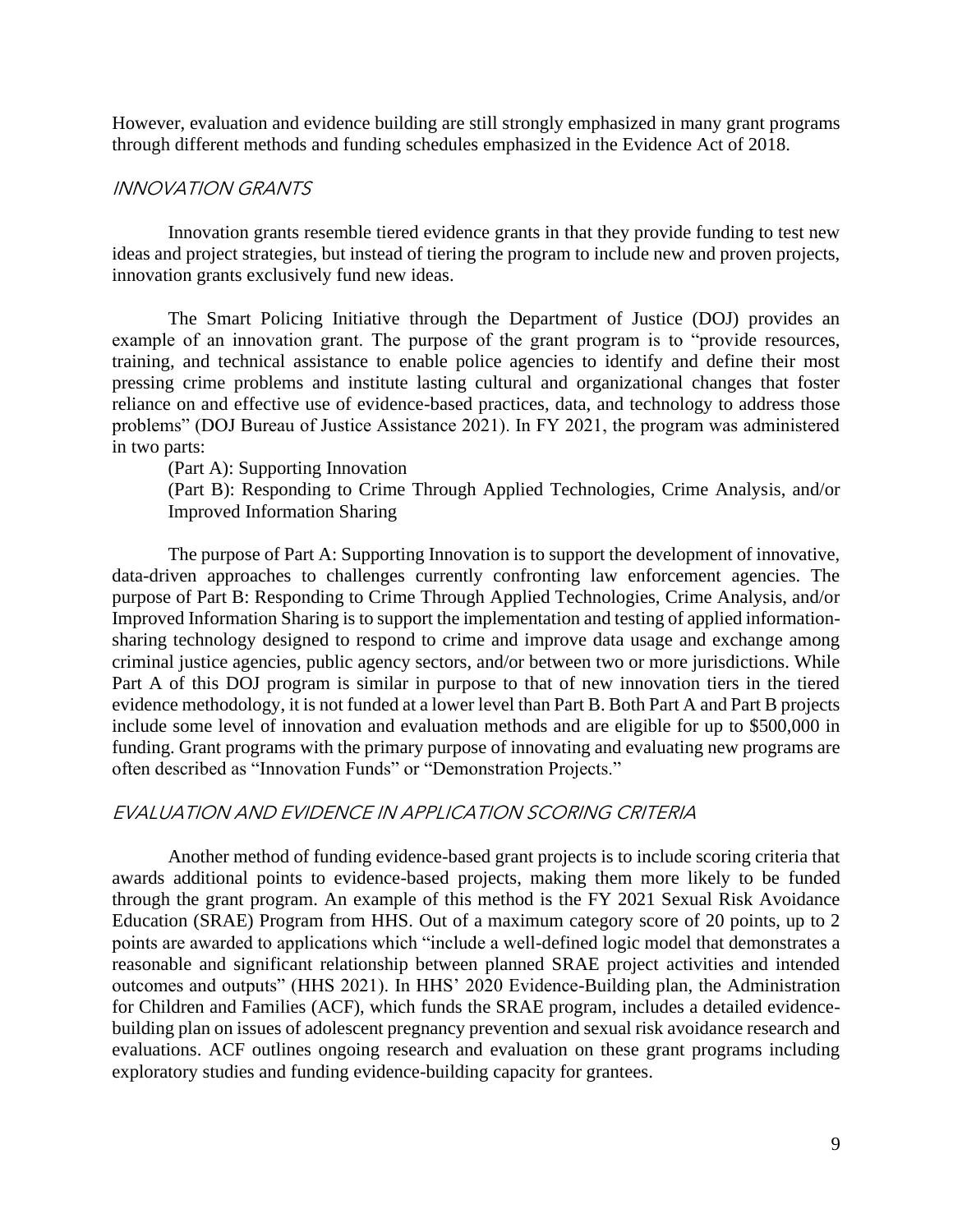However, evaluation and evidence building are still strongly emphasized in many grant programs through different methods and funding schedules emphasized in the Evidence Act of 2018.

#### INNOVATION GRANTS

 ideas and project strategies, but instead of tiering the program to include new and proven projects, Innovation grants resemble tiered evidence grants in that they provide funding to test new innovation grants exclusively fund new ideas.

 The Smart Policing Initiative through the Department of Justice (DOJ) provides an example of an innovation grant. The purpose of the grant program is to "provide resources, training, and technical assistance to enable police agencies to identify and define their most reliance on and effective use of evidence-based practices, data, and technology to address those problems" (DOJ Bureau of Justice Assistance 2021). In FY 2021, the program was administered pressing crime problems and institute lasting cultural and organizational changes that foster in two parts:

(Part A): Supporting Innovation

(Part B): Responding to Crime Through Applied Technologies, Crime Analysis, and/or Improved Information Sharing

 The purpose of Part A: Supporting Innovation is to support the development of innovative, data-driven approaches to challenges currently confronting law enforcement agencies. The purpose of Part B: Responding to Crime Through Applied Technologies, Crime Analysis, and/or sharing technology designed to respond to crime and improve data usage and exchange among criminal justice agencies, public agency sectors, and/or between two or more jurisdictions. While evidence methodology, it is not funded at a lower level than Part B. Both Part A and Part B projects include some level of innovation and evaluation methods and are eligible for up to \$500,000 in Improved Information Sharing is to support the implementation and testing of applied information-Part A of this DOJ program is similar in purpose to that of new innovation tiers in the tiered funding. Grant programs with the primary purpose of innovating and evaluating new programs are often described as "Innovation Funds" or "Demonstration Projects."

#### EVALUATION AND EVIDENCE IN APPLICATION SCORING CRITERIA

 Another method of funding evidence-based grant projects is to include scoring criteria that through the grant program. An example of this method is the FY 2021 Sexual Risk Avoidance Education (SRAE) Program from HHS. Out of a maximum category score of 20 points, up to 2 outcomes and outputs" (HHS 2021). In HHS' 2020 Evidence-Building plan, the Administration for Children and Families (ACF), which funds the SRAE program, includes a detailed evidenceawards additional points to evidence-based projects, making them more likely to be funded points are awarded to applications which "include a well-defined logic model that demonstrates a reasonable and significant relationship between planned SRAE project activities and intended building plan on issues of adolescent pregnancy prevention and sexual risk avoidance research and evaluations. ACF outlines ongoing research and evaluation on these grant programs including exploratory studies and funding evidence-building capacity for grantees.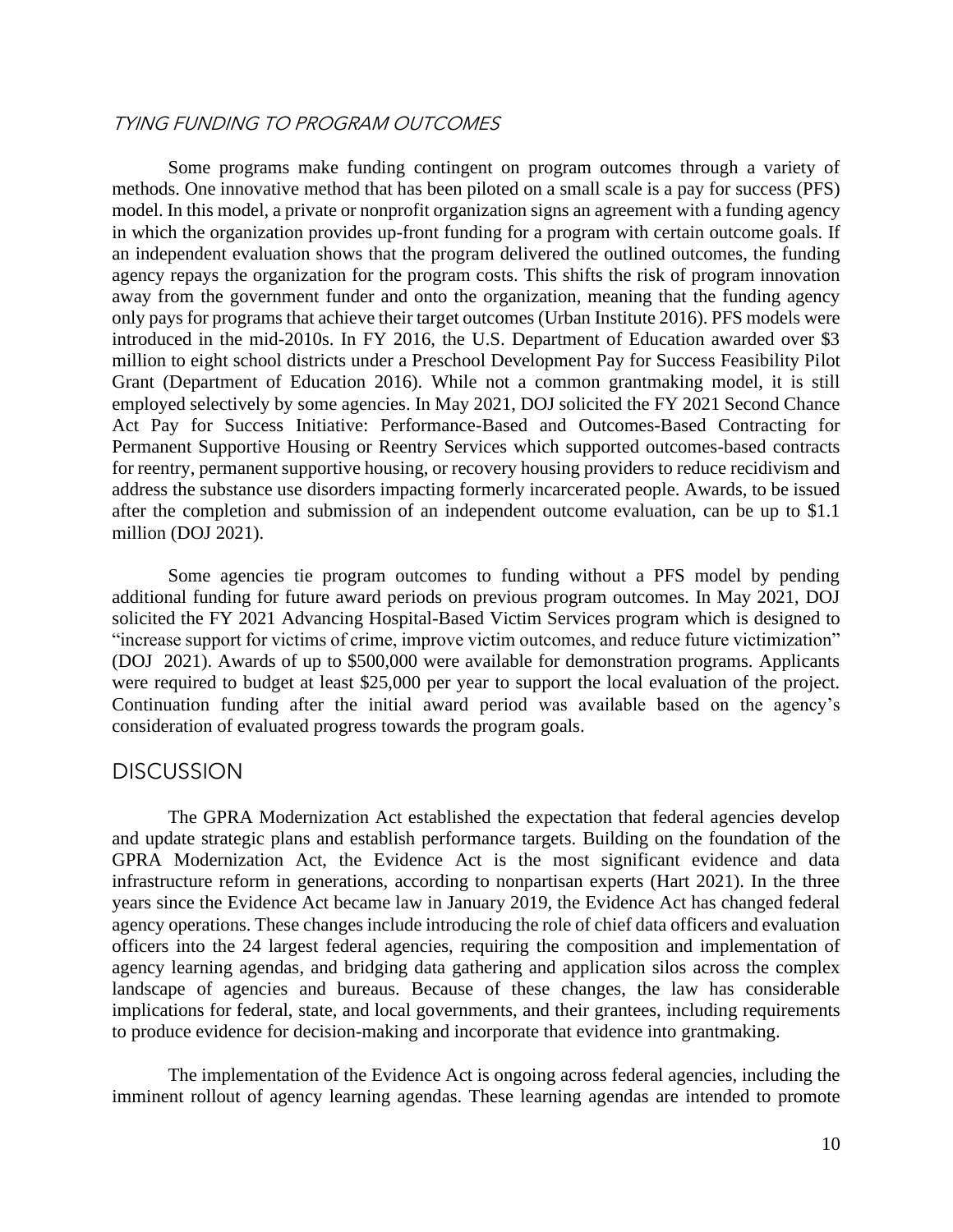## TYING FUNDING TO PROGRAM OUTCOMES

 Some programs make funding contingent on program outcomes through a variety of model. In this model, a private or nonprofit organization signs an agreement with a funding agency in which the organization provides up-front funding for a program with certain outcome goals. If an independent evaluation shows that the program delivered the outlined outcomes, the funding only pays for programs that achieve their target outcomes (Urban Institute 2016). PFS models were introduced in the mid-2010s. In FY 2016, the U.S. Department of Education awarded over \$3 million to eight school districts under a Preschool Development Pay for Success Feasibility Pilot Grant (Department of Education 2016). While not a common grantmaking model, it is still for reentry, permanent supportive housing, or recovery housing providers to reduce recidivism and after the completion and submission of an independent outcome evaluation, can be up to \$1.1 methods. One innovative method that has been piloted on a small scale is a pay for success (PFS) agency repays the organization for the program costs. This shifts the risk of program innovation away from the government funder and onto the organization, meaning that the funding agency employed selectively by some agencies. In May 2021, DOJ solicited the FY 2021 Second Chance Act Pay for Success Initiative: Performance-Based and Outcomes-Based Contracting for Permanent Supportive Housing or Reentry Services which supported outcomes-based contracts address the substance use disorders impacting formerly incarcerated people. Awards, to be issued million (DOJ 2021).

 Some agencies tie program outcomes to funding without a PFS model by pending additional funding for future award periods on previous program outcomes. In May 2021, DOJ "increase support for victims of crime, improve victim outcomes, and reduce future victimization" solicited the FY 2021 Advancing Hospital-Based Victim Services program which is designed to (DOJ 2021). Awards of up to \$500,000 were available for demonstration programs. Applicants were required to budget at least \$25,000 per year to support the local evaluation of the project. Continuation funding after the initial award period was available based on the agency's consideration of evaluated progress towards the program goals.

#### **DISCUSSION**

 GPRA Modernization Act, the Evidence Act is the most significant evidence and data infrastructure reform in generations, according to nonpartisan experts (Hart 2021). In the three agency operations. These changes include introducing the role of chief data officers and evaluation landscape of agencies and bureaus. Because of these changes, the law has considerable The GPRA Modernization Act established the expectation that federal agencies develop and update strategic plans and establish performance targets. Building on the foundation of the years since the Evidence Act became law in January 2019, the Evidence Act has changed federal officers into the 24 largest federal agencies, requiring the composition and implementation of agency learning agendas, and bridging data gathering and application silos across the complex implications for federal, state, and local governments, and their grantees, including requirements to produce evidence for decision-making and incorporate that evidence into grantmaking.

The implementation of the Evidence Act is ongoing across federal agencies, including the imminent rollout of agency learning agendas. These learning agendas are intended to promote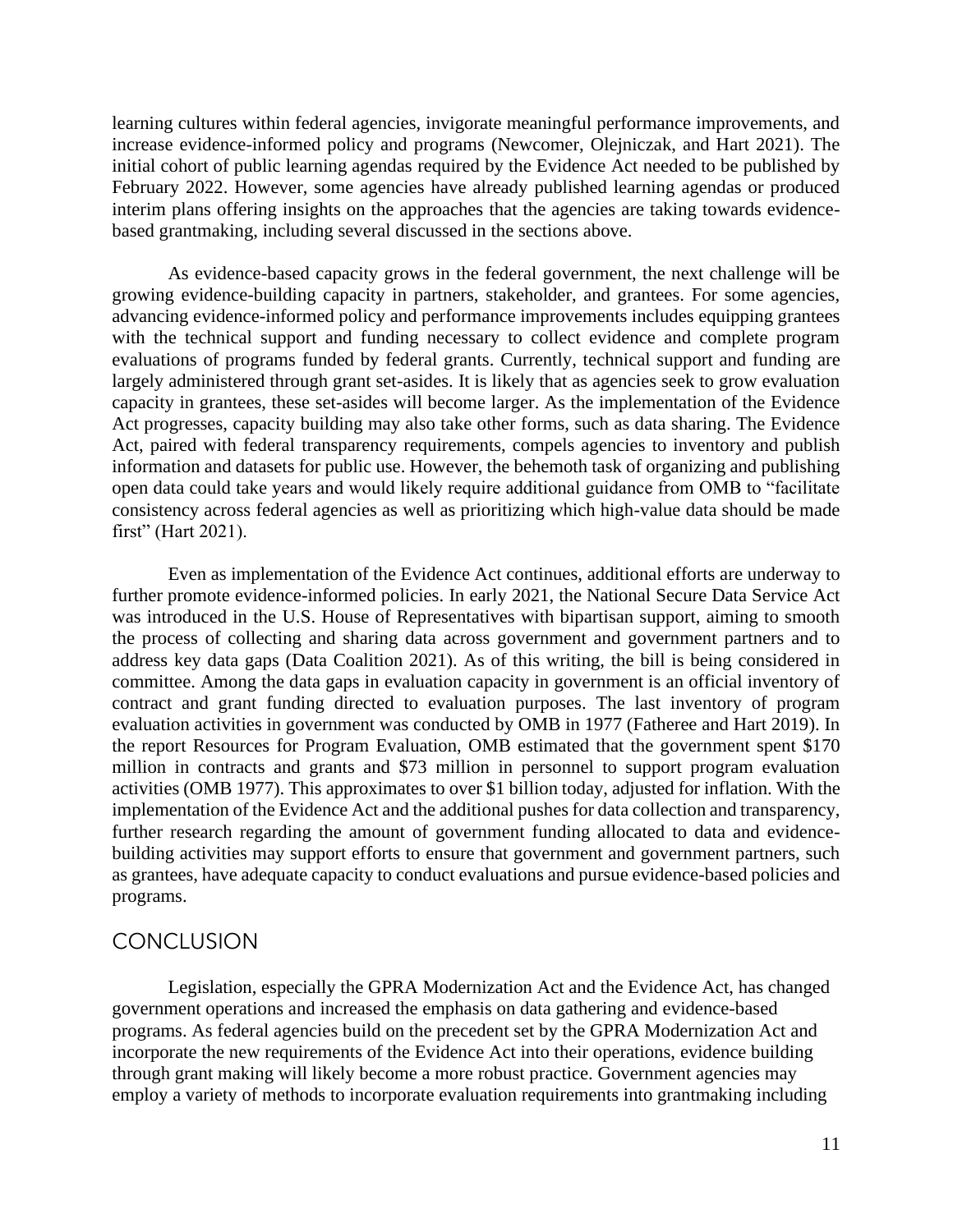initial cohort of public learning agendas required by the Evidence Act needed to be published by February 2022. However, some agencies have already published learning agendas or produced learning cultures within federal agencies, invigorate meaningful performance improvements, and increase evidence-informed policy and programs (Newcomer, Olejniczak, and Hart 2021). The interim plans offering insights on the approaches that the agencies are taking towards evidencebased grantmaking, including several discussed in the sections above.

 As evidence-based capacity grows in the federal government, the next challenge will be with the technical support and funding necessary to collect evidence and complete program largely administered through grant set-asides. It is likely that as agencies seek to grow evaluation Act progresses, capacity building may also take other forms, such as data sharing. The Evidence Act, paired with federal transparency requirements, compels agencies to inventory and publish information and datasets for public use. However, the behemoth task of organizing and publishing consistency across federal agencies as well as prioritizing which high-value data should be made growing evidence-building capacity in partners, stakeholder, and grantees. For some agencies, advancing evidence-informed policy and performance improvements includes equipping grantees evaluations of programs funded by federal grants. Currently, technical support and funding are capacity in grantees, these set-asides will become larger. As the implementation of the Evidence open data could take years and would likely require additional guidance from OMB to "facilitate first" (Hart 2021).

Even as implementation of the Evidence Act continues, additional efforts are underway to further promote evidence-informed policies. In early 2021, the National Secure Data Service Act was introduced in the U.S. House of Representatives with bipartisan support, aiming to smooth the process of collecting and sharing data across government and government partners and to address key data gaps (Data Coalition 2021). As of this writing, the bill is being considered in committee. Among the data gaps in evaluation capacity in government is an official inventory of contract and grant funding directed to evaluation purposes. The last inventory of program evaluation activities in government was conducted by OMB in 1977 (Fatheree and Hart 2019). In the report Resources for Program Evaluation, OMB estimated that the government spent \$170 million in contracts and grants and \$73 million in personnel to support program evaluation activities (OMB 1977). This approximates to over \$1 billion today, adjusted for inflation. With the implementation of the Evidence Act and the additional pushes for data collection and transparency, further research regarding the amount of government funding allocated to data and evidencebuilding activities may support efforts to ensure that government and government partners, such as grantees, have adequate capacity to conduct evaluations and pursue evidence-based policies and programs.

## **CONCLUSION**

Legislation, especially the GPRA Modernization Act and the Evidence Act, has changed government operations and increased the emphasis on data gathering and evidence-based programs. As federal agencies build on the precedent set by the GPRA Modernization Act and incorporate the new requirements of the Evidence Act into their operations, evidence building through grant making will likely become a more robust practice. Government agencies may employ a variety of methods to incorporate evaluation requirements into grantmaking including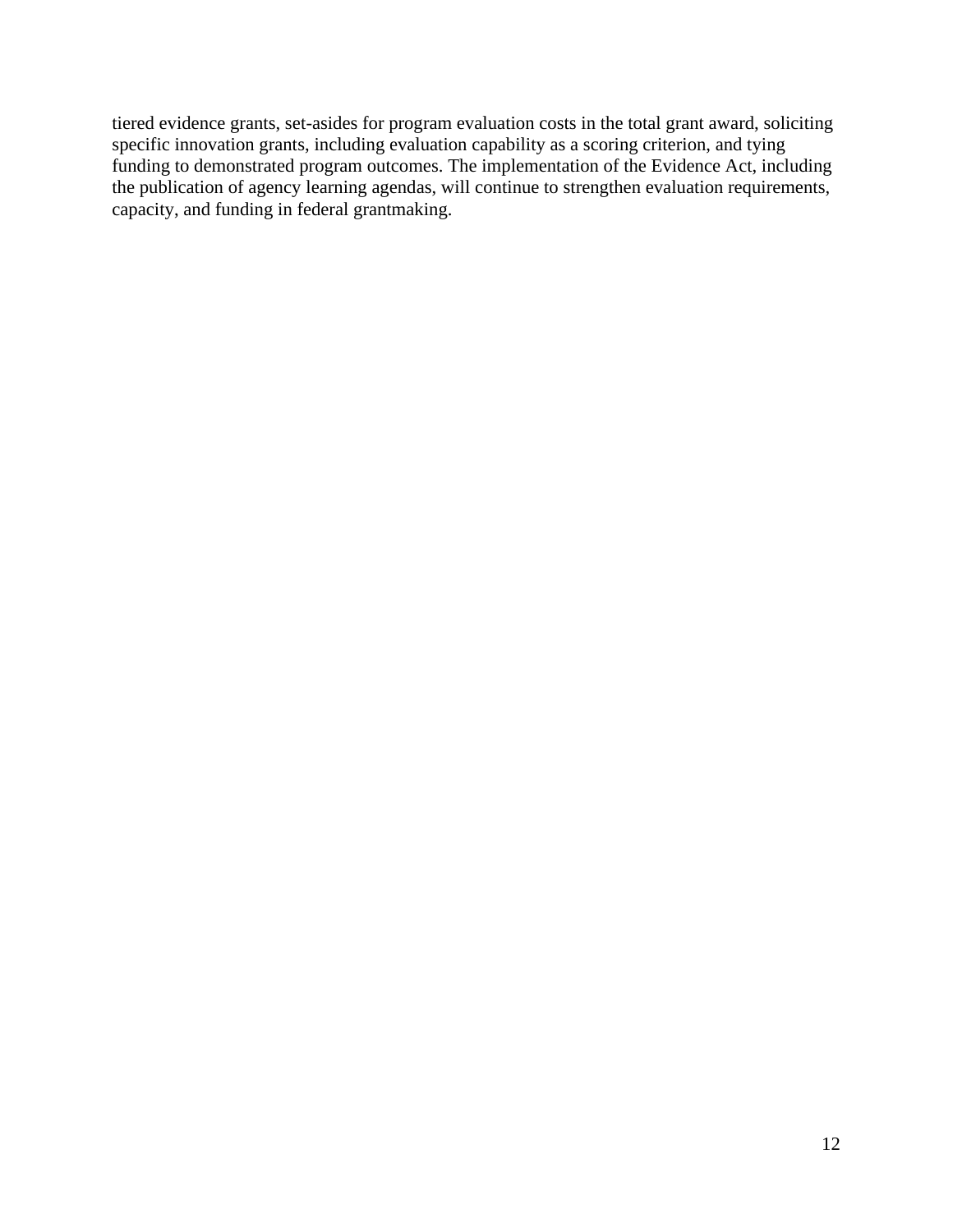tiered evidence grants, set-asides for program evaluation costs in the total grant award, soliciting specific innovation grants, including evaluation capability as a scoring criterion, and tying funding to demonstrated program outcomes. The implementation of the Evidence Act, including the publication of agency learning agendas, will continue to strengthen evaluation requirements, capacity, and funding in federal grantmaking.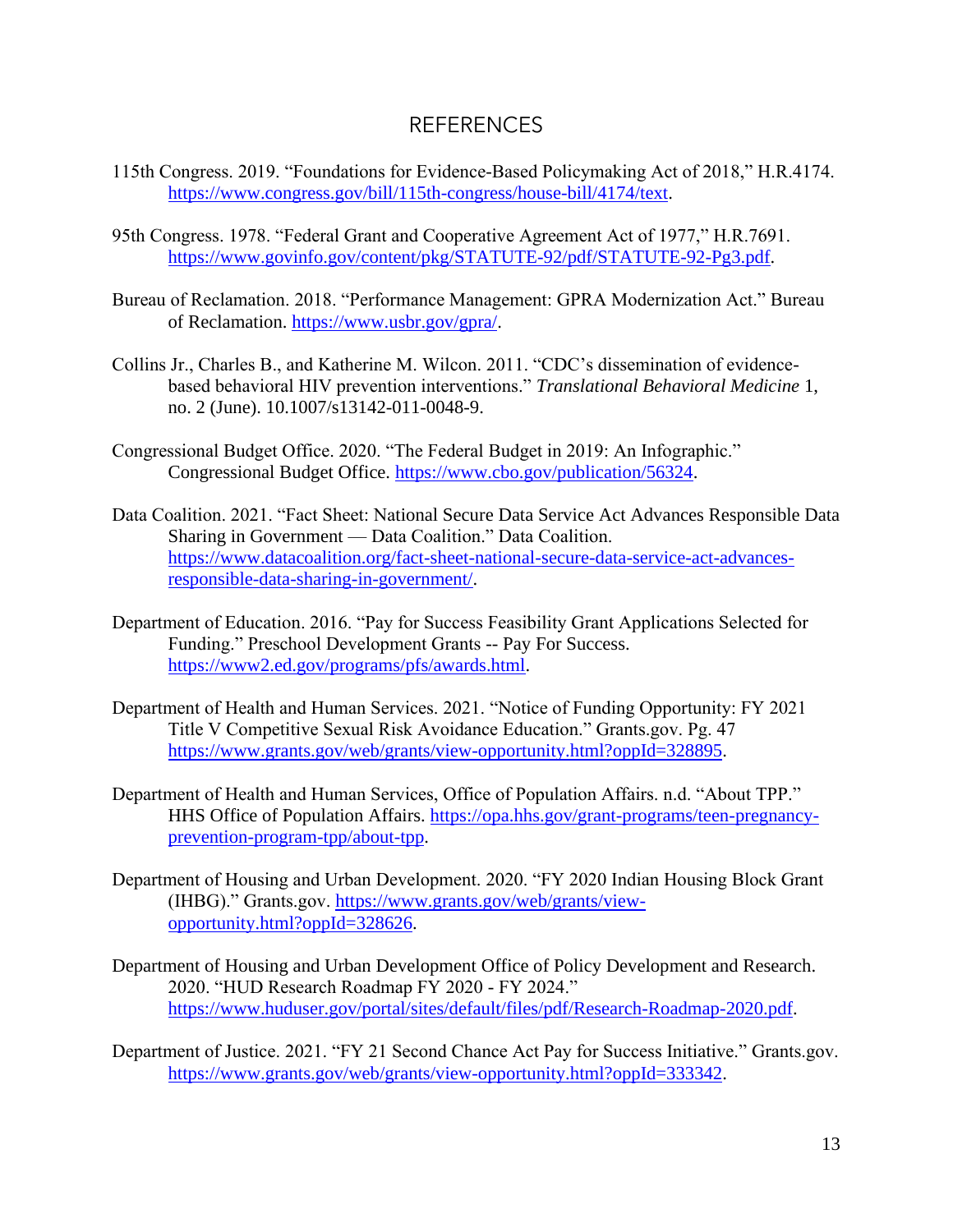## REFERENCES

- 115th Congress. 2019. "Foundations for Evidence-Based Policymaking Act of 2018," H.R.4174. [https://www.congress.gov/bill/115th-congress/house-bill/4174/text.](https://www.congress.gov/bill/115th-congress/house-bill/4174/text)
- 95th Congress. 1978. "Federal Grant and Cooperative Agreement Act of 1977," H.R.7691. [https://www.govinfo.gov/content/pkg/STATUTE-92/pdf/STATUTE-92-Pg3.pdf.](https://www.govinfo.gov/content/pkg/STATUTE-92/pdf/STATUTE-92-Pg3.pdf)
- Bureau of Reclamation. 2018. "Performance Management: GPRA Modernization Act." Bureau of Reclamation. [https://www.usbr.gov/gpra/.](https://www.usbr.gov/gpra/)
- Collins Jr., Charles B., and Katherine M. Wilcon. 2011. "CDC's dissemination of evidencebased behavioral HIV prevention interventions." *Translational Behavioral Medicine* 1, no. 2 (June). 10.1007/s13142-011-0048-9.
- Congressional Budget Office. 2020. "The Federal Budget in 2019: An Infographic." Congressional Budget Office. [https://www.cbo.gov/publication/56324.](https://www.cbo.gov/publication/56324)
- Data Coalition. 2021. "Fact Sheet: National Secure Data Service Act Advances Responsible Data Sharing in Government — Data Coalition." Data Coalition. [https://www.datacoalition.org/fact-sheet-national-secure-data-service-act-advances](https://www.datacoalition.org/fact-sheet-national-secure-data-service-act-advances-responsible-data-sharing-in-government/)[responsible-data-sharing-in-government/.](https://www.datacoalition.org/fact-sheet-national-secure-data-service-act-advances-responsible-data-sharing-in-government/)
- Department of Education. 2016. "Pay for Success Feasibility Grant Applications Selected for Funding." Preschool Development Grants -- Pay For Success. [https://www2.ed.gov/programs/pfs/awards.html.](https://www2.ed.gov/programs/pfs/awards.html)
- Department of Health and Human Services. 2021. "Notice of Funding Opportunity: FY 2021 Title V Competitive Sexual Risk Avoidance Education." [Grants.gov.](https://Grants.gov) Pg. 47 [https://www.grants.gov/web/grants/view-opportunity.html?oppId=328895.](https://www.grants.gov/web/grants/view-opportunity.html?oppId=328895)
- Department of Health and Human Services, Office of Population Affairs. n.d. "About TPP." HHS Office of Population Affairs. [https://opa.hhs.gov/grant-programs/teen-pregnancy](https://opa.hhs.gov/grant-programs/teen-pregnancy-prevention-program-tpp/about-tpp)[prevention-program-tpp/about-tpp.](https://opa.hhs.gov/grant-programs/teen-pregnancy-prevention-program-tpp/about-tpp)
- Department of Housing and Urban Development. 2020. "FY 2020 Indian Housing Block Grant (IHBG)." [Grants.gov.](https://Grants.gov) [https://www.grants.gov/web/grants/view](https://www.grants.gov/web/grants/view-opportunity.html?oppId=328626)[opportunity.html?oppId=328626.](https://www.grants.gov/web/grants/view-opportunity.html?oppId=328626)
- Department of Housing and Urban Development Office of Policy Development and Research. 2020. "HUD Research Roadmap FY 2020 - FY 2024." [https://www.huduser.gov/portal/sites/default/files/pdf/Research-Roadmap-2020.pdf.](https://www.huduser.gov/portal/sites/default/files/pdf/Research-Roadmap-2020.pdf)
- Department of Justice. 2021. "FY 21 Second Chance Act Pay for Success Initiative." [Grants.gov](https://Grants.gov). [https://www.grants.gov/web/grants/view-opportunity.html?oppId=333342.](https://www.grants.gov/web/grants/view-opportunity.html?oppId=333342)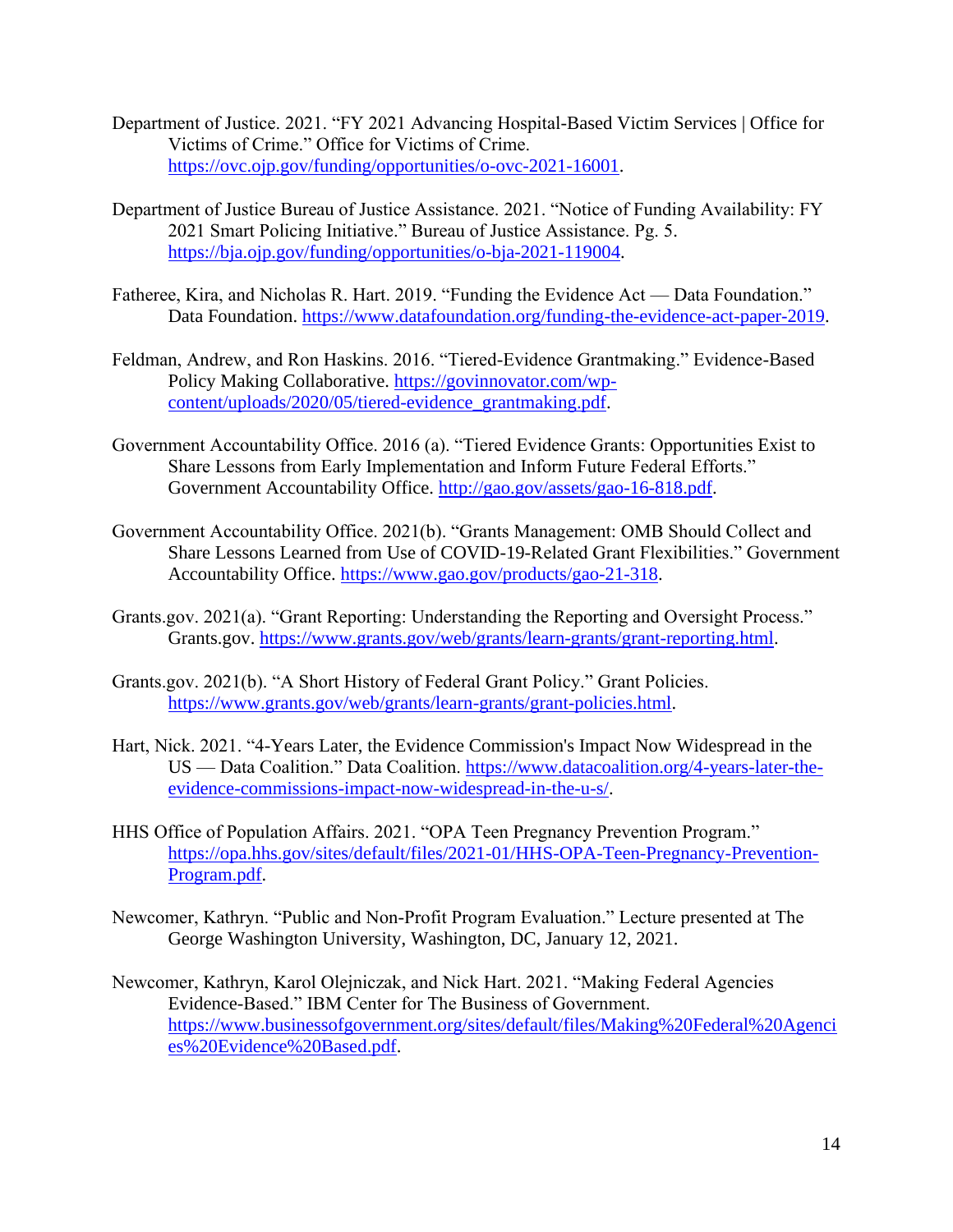- Department of Justice. 2021. "FY 2021 Advancing Hospital-Based Victim Services | Office for Victims of Crime." Office for Victims of Crime. [https://ovc.ojp.gov/funding/opportunities/o-ovc-2021-16001.](https://ovc.ojp.gov/funding/opportunities/o-ovc-2021-16001)
- Department of Justice Bureau of Justice Assistance. 2021. "Notice of Funding Availability: FY 2021 Smart Policing Initiative." Bureau of Justice Assistance. Pg. 5. [https://bja.ojp.gov/funding/opportunities/o-bja-2021-119004.](https://bja.ojp.gov/funding/opportunities/o-bja-2021-119004)
- Fatheree, Kira, and Nicholas R. Hart. 2019. "Funding the Evidence Act Data Foundation." Data Foundation. [https://www.datafoundation.org/funding-the-evidence-act-paper-2019.](https://www.datafoundation.org/funding-the-evidence-act-paper-2019)
- Feldman, Andrew, and Ron Haskins. 2016. "Tiered-Evidence Grantmaking." Evidence-Based Policy Making Collaborative. [https://govinnovator.com/wp](https://govinnovator.com/wp-content/uploads/2020/05/tiered-evidence_grantmaking.pdf)[content/uploads/2020/05/tiered-evidence\\_grantmaking.pdf.](https://govinnovator.com/wp-content/uploads/2020/05/tiered-evidence_grantmaking.pdf)
- Government Accountability Office. 2016 (a). "Tiered Evidence Grants: Opportunities Exist to Share Lessons from Early Implementation and Inform Future Federal Efforts." Government Accountability Office. [http://gao.gov/assets/gao-16-818.pdf.](http://gao.gov/assets/gao-16-818.pdf)
- Government Accountability Office. 2021(b). "Grants Management: OMB Should Collect and Share Lessons Learned from Use of COVID-19-Related Grant Flexibilities." Government Accountability Office. [https://www.gao.gov/products/gao-21-318.](https://www.gao.gov/products/gao-21-318)
- [Grants.gov.](https://Grants.gov) 2021(a). "Grant Reporting: Understanding the Reporting and Oversight Process." [Grants.gov.](https://Grants.gov) [https://www.grants.gov/web/grants/learn-grants/grant-reporting.html.](https://www.grants.gov/web/grants/learn-grants/grant-reporting.html)
- [Grants.gov.](https://Grants.gov) 2021(b). "A Short History of Federal Grant Policy." Grant Policies. [https://www.grants.gov/web/grants/learn-grants/grant-policies.html.](https://www.grants.gov/web/grants/learn-grants/grant-policies.html)
- Hart, Nick. 2021. "4-Years Later, the Evidence Commission's Impact Now Widespread in the US — Data Coalition." Data Coalition. [https://www.datacoalition.org/4-years-later-the](https://www.datacoalition.org/4-years-later-the-evidence-commissions-impact-now-widespread-in-the-u-s/)[evidence-commissions-impact-now-widespread-in-the-u-s/.](https://www.datacoalition.org/4-years-later-the-evidence-commissions-impact-now-widespread-in-the-u-s/)
- HHS Office of Population Affairs. 2021. "OPA Teen Pregnancy Prevention Program." [https://opa.hhs.gov/sites/default/files/2021-01/HHS-OPA-Teen-Pregnancy-Prevention-](https://opa.hhs.gov/sites/default/files/2021-01/HHS-OPA-Teen-Pregnancy-Prevention-Program.pdf)[Program.pdf.](https://opa.hhs.gov/sites/default/files/2021-01/HHS-OPA-Teen-Pregnancy-Prevention-Program.pdf)
- Newcomer, Kathryn. "Public and Non-Profit Program Evaluation." Lecture presented at The George Washington University, Washington, DC, January 12, 2021.
- Newcomer, Kathryn, Karol Olejniczak, and Nick Hart. 2021. "Making Federal Agencies Evidence-Based." IBM Center for The Business of Government. [https://www.businessofgovernment.org/sites/default/files/Making%20Federal%20Agenci](https://www.businessofgovernment.org/sites/default/files/Making%20Federal%20Agencies%20Evidence%20Based.pdf)  [es%20Evidence%20Based.pdf.](https://www.businessofgovernment.org/sites/default/files/Making%20Federal%20Agencies%20Evidence%20Based.pdf)